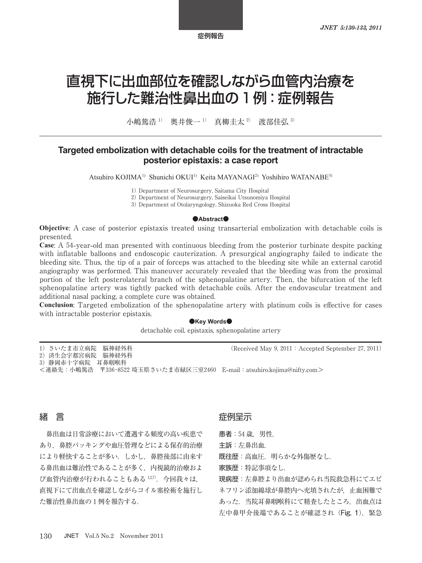# 直視下に出血部位を確認しながら血管内治療を 施行した難治性鼻出血の 1 例:症例報告

小嶋篤浩<sup>1)</sup> 奥井俊一<sup>1)</sup> 直柳圭太<sup>2)</sup> 渡部佳弘<sup>3)</sup>

# **Targeted embolization with detachable coils for the treatment of intractable posterior epistaxis: a case report**

Atsuhiro KOJIMA<sup>1)</sup> Shunichi OKUI<sup>1)</sup> Keita MAYANAGI<sup>2)</sup> Yoshihiro WATANABE<sup>3)</sup>

1) Department of Neurosurgery, Saitama City Hospital

2) Department of Neurosurgery, Saiseikai Utsunomiya Hospital

3) Department of Otolaryngology, Shizuoka Red Cross Hospital

#### **●Abstract●**

**Objective**: A case of posterior epistaxis treated using transarterial embolization with detachable coils is presented.

**Case**: A 54**-**year**-**old man presented with continuous bleeding from the posterior turbinate despite packing with inflatable balloons and endoscopic cauterization. A presurgical angiography failed to indicate the bleeding site. Thus, the tip of a pair of forceps was attached to the bleeding site while an external carotid angiography was performed. This maneuver accurately revealed that the bleeding was from the proximal portion of the left posterolateral branch of the sphenopalatine artery. Then, the bifurcation of the left sphenopalatine artery was tightly packed with detachable coils. After the endovascular treatment and additional nasal packing, a complete cure was obtained.

**Conclusion**: Targeted embolization of the sphenopalatine artery with platinum coils is effective for cases with intractable posterior epistaxis.

### **●Key Words●**

detachable coil, epistaxis, sphenopalatine artery

| 1) さいたま市立病院 脳神経外科 |
|-------------------|
|-------------------|

2)済生会宇都宮病院 脳神経外科

<連絡先:小嶋篤浩 〒336-8522 埼玉県さいたま市緑区三室2460 E**-**mail:atsuhiro.kojima@nifty.com>

# 緒 言

鼻出血は日常診療において遭遇する頻度の高い疾患で あり,鼻腔パッキングや血圧管理などによる保存的治療 により軽快することが多い.しかし,鼻腔後部に由来す る鼻出血は難治性であることが多く,内視鏡的治療およ び血管内治療が行われることもある 127). 今回我々は, 直視下にて出血点を確認しながらコイル塞栓術を施行し た難治性鼻出血の 1 例を報告する.

# 症例呈示

患者: 54 歳. 男性.

主訴:左鼻出血.

既往歴:高血圧. 明らかな外傷歴なし.

家族歴:特記事項なし.

現病歴:左鼻腔より出血が認められ当院救急科にてエピ ネフリン添加綿球が鼻腔内へ充填されたが,止血困難で あった.当院耳鼻咽喉科にて精査したところ,出血点は 左中鼻甲介後端であることが確認され (Fig. 1), 緊急

 $(Received May 9, 2011: Accepted September 27, 2011)$ 

<sup>3</sup>)静岡赤十字病院 耳鼻咽喉科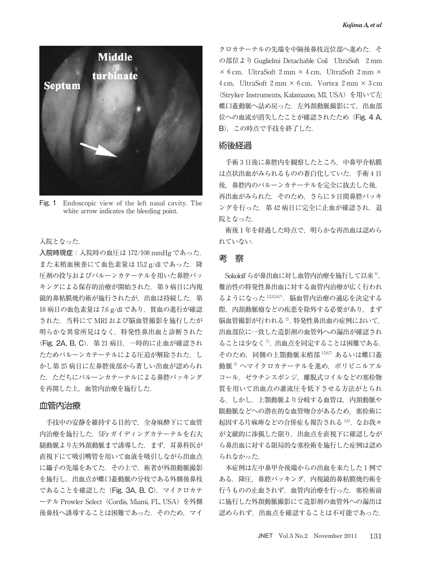

Fig. 1 Endoscopic view of the left nasal cavity. The white arrow indicates the bleeding point.

### 入院となった.

入院時現症:入院時の血圧は 172/108 mmHg であった. また末梢血検査にて血色素量は 15.2 g/dl であった. 降 圧剤の投与およびバルーンカテーテルを用いた鼻腔パッ キングによる保存的治療が開始された. 第9病日に内視 鏡的鼻粘膜焼灼術が施行されたが、出血は持続した. 第 18 病日の血色素量は 7.6 g/dl であり、貧血の進行が確認 された.当科にて MRI および脳血管撮影を施行したが 明らかな異常所見はなく,特発性鼻出血と診断された (Fig. 2A, B, C). 第 21 病日, 一時的に止血が確認され たためバルーンカテーテルによる圧迫が解除された.し かし第 25 病日に左鼻腔後部から著しい出血が認められ た. ただちにバルーンカテーテルによる鼻腔パッキング を再開した上,血管内治療を施行した.

## 血管内治療

手技中の安静を維持する目的で、全身麻酔下にて血管 内治療を施行した. 5Fr ガイディングカテーテルを右大 腿動脈より左外頚動脈まで誘導した.まず,耳鼻科医が 直視下にて吸引嘴管を用いて血液を吸引しながら出血点 に鑷子の先端をあてた.その上で,術者が外頚動脈撮影 を施行し,出血点が蝶口蓋動脈の分枝である外側後鼻枝 であることを確認した(Fig. 3A, B, C).マイクロカテ ーテル Prowler Select (Cordis, Miami, FL, USA) を外側 後鼻枝へ誘導することは困難であった. そのため, マイ

クロカテーテルの先端を中隔後鼻枝近位部へ進めた. そ の部位より Guglielmi Detachable Coil UltraSoft 2 mm  $\times$  6 cm, UltraSoft 2 mm  $\times$  4 cm, UltraSoft 2 mm  $\times$ 4 cm, UltraSoft 2 mm  $\times$  6 cm, Vortex 2 mm  $\times$  3 cm (Stryker Instruments, Kalamazoo, MI, USA) を用いて左 蝶口蓋動脈へ詰め戻った. 左外頚動脈撮影にて、出血部 位への血流が消失したことが確認されたため(Fig. 4 A, B),この時点で手技を終了した.

# 術後経過

手術 3 日後に鼻腔内を観察したところ,中鼻甲介粘膜 は点状出血がみられるものの蒼白化していた.手術 4 日 後,鼻腔内のバルーンカテーテルを完全に抜去した後, 再出血がみられた.そのため,さらに 9 日間鼻腔パッキ ングを行った. 第42病日に完全に止血が確認され、退 院となった.

術後1年を経過した時点で、明らかな再出血は認めら れていない.

# 考 察

Sokoloff らが鼻出血に対し血管内治療を施行して以来 4), 難治性の特発性鼻出血に対する血管内治療が広く行われ るようになった 1,2,3,5,67). 脳血管内治療の適応を決定する 際、内頚動脈瘤などの疾患を除外する必要があり、まず 脳血管撮影が行われる <sup>2</sup>).特発性鼻出血の症例において, 出血部位に一致した造影剤の血管外への漏出が確認され ることは少なく<sup>7</sup>,出血点を同定することは困難である. そのため、同側の上顎動脈末梢部 15,67) あるいは蝶口蓋 動脈 3) ヘマイクロカテーテルを進め, ポリビニルアル コール,ゼラチンスポンジ,離脱式コイルなどの塞栓物 質を用いて出血点の灌流圧を低下させる方法がとられ る.しかし,上顎動脈より分岐する血管は,内頚動脈や 眼動脈などへの潜在的な血管吻合があるため,塞栓術に 起因する片麻痺などの合併症も報告される 1,6). なお我々 が文献的に渉猟した限り,出血点を直視下に確認しなが ら鼻出血に対する限局的な塞栓術を施行した症例は認め られなかった.

本症例は左中鼻甲介後端からの出血を来たした 1 例で ある.降圧,鼻腔パッキング,内視鏡的鼻粘膜焼灼術を 行うものの止血されず、血管内治療を行った. 塞栓術前 に施行した外頚動脈撮影にて造影剤の血管外への漏出は 認められず,出血点を確認することは不可能であった.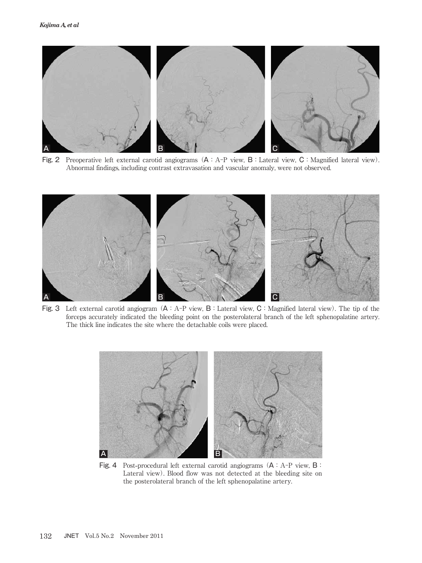

Fig. 2 Preoperative left external carotid angiograms  $(A : A-P$  view, B: Lateral view, C: Magnified lateral view). Abnormal findings, including contrast extravasation and vascular anomaly, were not observed.



Fig. 3 Left external carotid angiogram (A:A-P view, B:Lateral view, C:Magnified lateral view). The tip of the forceps accurately indicated the bleeding point on the posterolateral branch of the left sphenopalatine artery. The thick line indicates the site where the detachable coils were placed.



Fig. 4 Post**-**procedural left external carotid angiograms (A:A-P view, B: Lateral view). Blood flow was not detected at the bleeding site on the posterolateral branch of the left sphenopalatine artery.